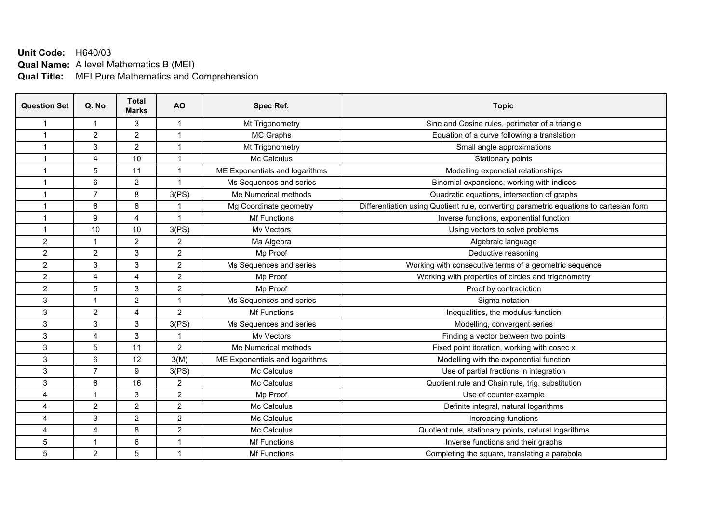## **Unit Code:** H640/03 **Qual Name:** A level Mathematics B (MEI) **Qual Title:** MEI Pure Mathematics and Comprehension

| <b>Question Set</b>  | Q. No                   | <b>Total</b><br><b>Marks</b> | <b>AO</b>               | Spec Ref.                      | <b>Topic</b>                                                                           |
|----------------------|-------------------------|------------------------------|-------------------------|--------------------------------|----------------------------------------------------------------------------------------|
| -1                   | 1                       | 3                            | 1                       | Mt Trigonometry                | Sine and Cosine rules, perimeter of a triangle                                         |
| -1                   | $\overline{2}$          | $\overline{2}$               | 1                       | MC Graphs                      | Equation of a curve following a translation                                            |
| $\overline{1}$       | 3                       | $\overline{2}$               | 1                       | Mt Trigonometry                | Small angle approximations                                                             |
| -1                   | $\overline{4}$          | 10                           | 1                       | Mc Calculus                    | Stationary points                                                                      |
| $\overline{1}$       | 5                       | 11                           | $\overline{1}$          | ME Exponentials and logarithms | Modelling exponetial relationships                                                     |
| $\overline{1}$       | 6                       | $\overline{2}$               | $\overline{1}$          | Ms Sequences and series        | Binomial expansions, working with indices                                              |
| $\overline{1}$       | $\overline{7}$          | 8                            | 3(PS)                   | Me Numerical methods           | Quadratic equations, intersection of graphs                                            |
| $\blacktriangleleft$ | 8                       | 8                            |                         | Mg Coordinate geometry         | Differentiation using Quotient rule, converting parametric equations to cartesian form |
| $\blacktriangleleft$ | 9                       | $\overline{4}$               | $\overline{\mathbf{A}}$ | <b>Mf Functions</b>            | Inverse functions, exponential function                                                |
| $\blacktriangleleft$ | 10                      | 10                           | 3(PS)                   | Mv Vectors                     | Using vectors to solve problems                                                        |
| $\overline{c}$       | $\overline{1}$          | $\overline{2}$               | $\overline{2}$          | Ma Algebra                     | Algebraic language                                                                     |
| $\overline{2}$       | $\overline{2}$          | 3                            | $\overline{2}$          | Mp Proof                       | Deductive reasoning                                                                    |
| $\overline{2}$       | 3                       | 3                            | $\overline{2}$          | Ms Sequences and series        | Working with consecutive terms of a geometric sequence                                 |
| $\overline{2}$       | 4                       | 4                            | $\overline{2}$          | Mp Proof                       | Working with properties of circles and trigonometry                                    |
| $\overline{2}$       | 5                       | 3                            | $\overline{2}$          | Mp Proof                       | Proof by contradiction                                                                 |
| 3                    | $\overline{1}$          | $\overline{2}$               | 1                       | Ms Sequences and series        | Sigma notation                                                                         |
| 3                    | $\overline{2}$          | 4                            | $\overline{2}$          | <b>Mf Functions</b>            | Inequalities, the modulus function                                                     |
| 3                    | 3                       | 3                            | 3(PS)                   | Ms Sequences and series        | Modelling, convergent series                                                           |
| 3                    | $\overline{4}$          | 3                            |                         | My Vectors                     | Finding a vector between two points                                                    |
| 3                    | 5                       | 11                           | $\overline{2}$          | Me Numerical methods           | Fixed point iteration, working with cosec x                                            |
| 3                    | 6                       | 12                           | 3(M)                    | ME Exponentials and logarithms | Modelling with the exponential function                                                |
| 3                    | $\overline{7}$          | 9                            | 3(PS)                   | Mc Calculus                    | Use of partial fractions in integration                                                |
| 3                    | 8                       | 16                           | $\overline{2}$          | Mc Calculus                    | Quotient rule and Chain rule, trig. substitution                                       |
| 4                    | $\overline{1}$          | 3                            | $\overline{2}$          | Mp Proof                       | Use of counter example                                                                 |
| 4                    | $\overline{2}$          | $\overline{2}$               | $\overline{2}$          | Mc Calculus                    | Definite integral, natural logarithms                                                  |
| 4                    | 3                       | $\overline{2}$               | $\overline{2}$          | Mc Calculus                    | Increasing functions                                                                   |
| 4                    | 4                       | 8                            | $\overline{2}$          | Mc Calculus                    | Quotient rule, stationary points, natural logarithms                                   |
| 5                    | $\overline{\mathbf{1}}$ | 6                            | 1                       | Mf Functions                   | Inverse functions and their graphs                                                     |
| 5                    | $\overline{2}$          | 5                            | 1                       | Mf Functions                   | Completing the square, translating a parabola                                          |